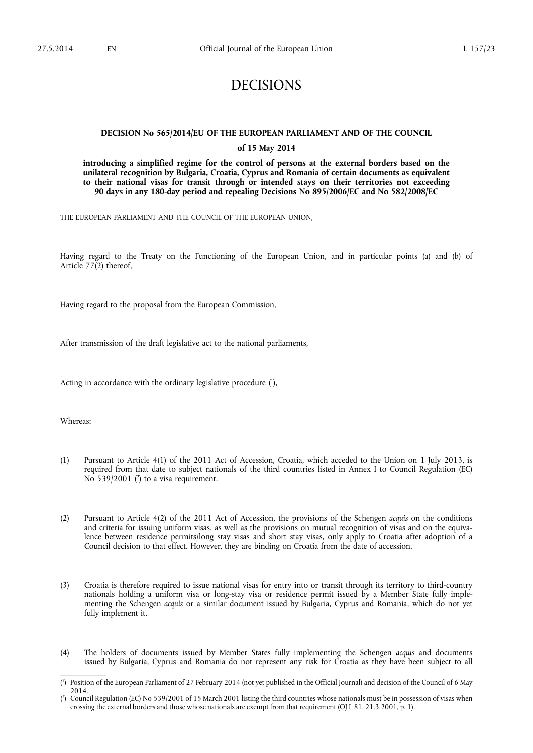# DECISIONS

# **DECISION No 565/2014/EU OF THE EUROPEAN PARLIAMENT AND OF THE COUNCIL**

## **of 15 May 2014**

**introducing a simplified regime for the control of persons at the external borders based on the unilateral recognition by Bulgaria, Croatia, Cyprus and Romania of certain documents as equivalent to their national visas for transit through or intended stays on their territories not exceeding 90 days in any 180-day period and repealing Decisions No 895/2006/EC and No 582/2008/EC** 

THE EUROPEAN PARLIAMENT AND THE COUNCIL OF THE EUROPEAN UNION,

Having regard to the Treaty on the Functioning of the European Union, and in particular points (a) and (b) of Article 77(2) thereof,

Having regard to the proposal from the European Commission,

After transmission of the draft legislative act to the national parliaments,

Acting in accordance with the ordinary legislative procedure ( 1 ),

Whereas:

- (1) Pursuant to Article 4(1) of the 2011 Act of Accession, Croatia, which acceded to the Union on 1 July 2013, is required from that date to subject nationals of the third countries listed in Annex I to Council Regulation (EC) No  $539/2001$  (<sup>2</sup>) to a visa requirement.
- (2) Pursuant to Article 4(2) of the 2011 Act of Accession, the provisions of the Schengen *acquis* on the conditions and criteria for issuing uniform visas, as well as the provisions on mutual recognition of visas and on the equivalence between residence permits/long stay visas and short stay visas, only apply to Croatia after adoption of a Council decision to that effect. However, they are binding on Croatia from the date of accession.
- (3) Croatia is therefore required to issue national visas for entry into or transit through its territory to third-country nationals holding a uniform visa or long-stay visa or residence permit issued by a Member State fully implementing the Schengen *acquis* or a similar document issued by Bulgaria, Cyprus and Romania, which do not yet fully implement it.
- (4) The holders of documents issued by Member States fully implementing the Schengen *acquis* and documents issued by Bulgaria, Cyprus and Romania do not represent any risk for Croatia as they have been subject to all

<sup>(</sup> 1 ) Position of the European Parliament of 27 February 2014 (not yet published in the Official Journal) and decision of the Council of 6 May 2014.

<sup>(</sup> 2 ) Council Regulation (EC) No 539/2001 of 15 March 2001 listing the third countries whose nationals must be in possession of visas when crossing the external borders and those whose nationals are exempt from that requirement (OJ L 81, 21.3.2001, p. 1).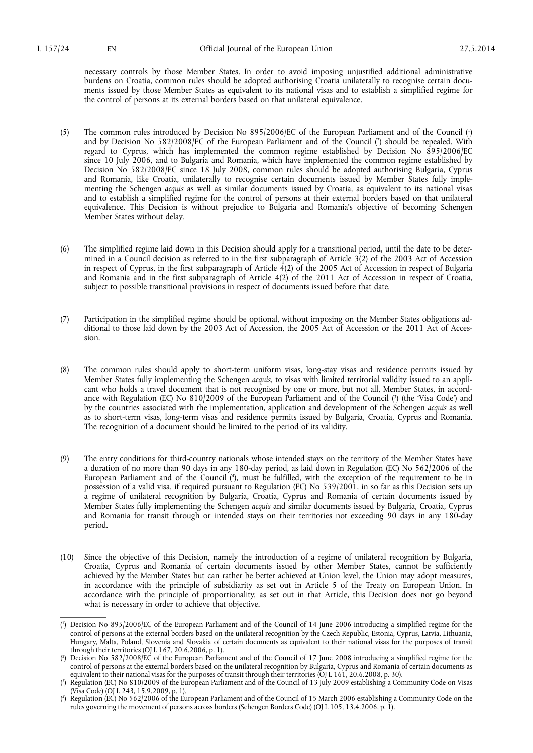necessary controls by those Member States. In order to avoid imposing unjustified additional administrative burdens on Croatia, common rules should be adopted authorising Croatia unilaterally to recognise certain documents issued by those Member States as equivalent to its national visas and to establish a simplified regime for the control of persons at its external borders based on that unilateral equivalence.

- (5) The common rules introduced by Decision No 895/2006/EC of the European Parliament and of the Council ( 1 ) and by Decision No 582/2008/EC of the European Parliament and of the Council ( 2 ) should be repealed. With regard to Cyprus, which has implemented the common regime established by Decision No 895/2006/EC since 10 July 2006, and to Bulgaria and Romania, which have implemented the common regime established by Decision No 582/2008/EC since 18 July 2008, common rules should be adopted authorising Bulgaria, Cyprus and Romania, like Croatia, unilaterally to recognise certain documents issued by Member States fully implementing the Schengen *acquis* as well as similar documents issued by Croatia, as equivalent to its national visas and to establish a simplified regime for the control of persons at their external borders based on that unilateral equivalence. This Decision is without prejudice to Bulgaria and Romania's objective of becoming Schengen Member States without delay.
- (6) The simplified regime laid down in this Decision should apply for a transitional period, until the date to be determined in a Council decision as referred to in the first subparagraph of Article  $3(2)$  of the 2003 Act of Accession in respect of Cyprus, in the first subparagraph of Article  $\hat{4}(2)$  of the 2005 Act of Accession in respect of Bulgaria and Romania and in the first subparagraph of Article 4(2) of the 2011 Act of Accession in respect of Croatia, subject to possible transitional provisions in respect of documents issued before that date.
- (7) Participation in the simplified regime should be optional, without imposing on the Member States obligations additional to those laid down by the 2003 Act of Accession, the 2005 Act of Accession or the 2011 Act of Accession.
- (8) The common rules should apply to short-term uniform visas, long-stay visas and residence permits issued by Member States fully implementing the Schengen *acquis*, to visas with limited territorial validity issued to an applicant who holds a travel document that is not recognised by one or more, but not all, Member States, in accordance with Regulation (EC) No 810/2009 of the European Parliament and of the Council ( 3 ) (the 'Visa Code') and by the countries associated with the implementation, application and development of the Schengen *acquis* as well as to short-term visas, long-term visas and residence permits issued by Bulgaria, Croatia, Cyprus and Romania. The recognition of a document should be limited to the period of its validity.
- (9) The entry conditions for third-country nationals whose intended stays on the territory of the Member States have a duration of no more than 90 days in any 180-day period, as laid down in Regulation (EC) No 562/2006 of the European Parliament and of the Council ( 4 ), must be fulfilled, with the exception of the requirement to be in possession of a valid visa, if required pursuant to Regulation (EC) No 539/2001, in so far as this Decision sets up a regime of unilateral recognition by Bulgaria, Croatia, Cyprus and Romania of certain documents issued by Member States fully implementing the Schengen *acquis* and similar documents issued by Bulgaria, Croatia, Cyprus and Romania for transit through or intended stays on their territories not exceeding 90 days in any 180-day period.
- (10) Since the objective of this Decision, namely the introduction of a regime of unilateral recognition by Bulgaria, Croatia, Cyprus and Romania of certain documents issued by other Member States, cannot be sufficiently achieved by the Member States but can rather be better achieved at Union level, the Union may adopt measures, in accordance with the principle of subsidiarity as set out in Article 5 of the Treaty on European Union. In accordance with the principle of proportionality, as set out in that Article, this Decision does not go beyond what is necessary in order to achieve that objective.

<sup>(</sup> 1 ) Decision No 895/2006/EC of the European Parliament and of the Council of 14 June 2006 introducing a simplified regime for the control of persons at the external borders based on the unilateral recognition by the Czech Republic, Estonia, Cyprus, Latvia, Lithuania, Hungary, Malta, Poland, Slovenia and Slovakia of certain documents as equivalent to their national visas for the purposes of transit through their territories (OJ L 167, 20.6.2006, p. 1).

<sup>(</sup> 2 ) Decision No 582/2008/EC of the European Parliament and of the Council of 17 June 2008 introducing a simplified regime for the control of persons at the external borders based on the unilateral recognition by Bulgaria, Cyprus and Romania of certain documents as equivalent to their national visas for the purposes of transit through their territories (OJ L 161, 20.6.2008, p. 30).

<sup>(</sup> 3 ) Regulation (EC) No 810/2009 of the European Parliament and of the Council of 13 July 2009 establishing a Community Code on Visas (Visa Code) (OJ L 243, 15.9.2009, p. 1).

<sup>(</sup> 4 ) Regulation (EC) No 562/2006 of the European Parliament and of the Council of 15 March 2006 establishing a Community Code on the rules governing the movement of persons across borders (Schengen Borders Code) (OJ L 105, 13.4.2006, p. 1).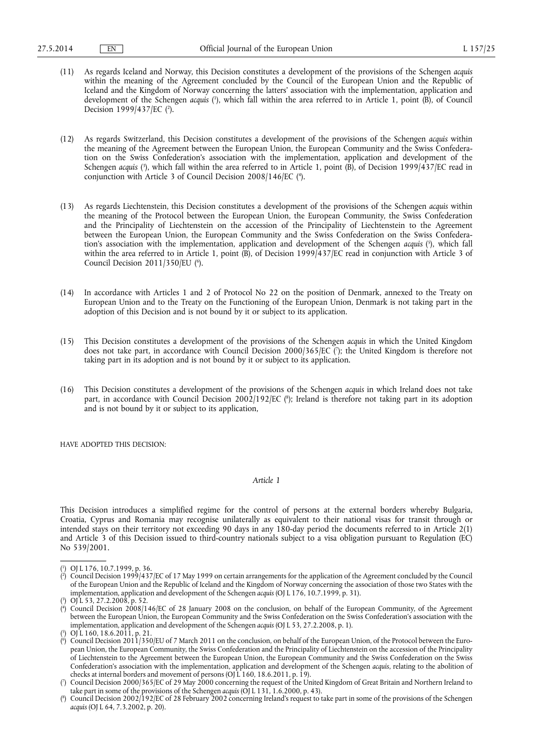- (11) As regards Iceland and Norway, this Decision constitutes a development of the provisions of the Schengen *acquis*  within the meaning of the Agreement concluded by the Council of the European Union and the Republic of Iceland and the Kingdom of Norway concerning the latters' association with the implementation, application and development of the Schengen *acquis* ( 1 ), which fall within the area referred to in Article 1, point (B), of Council Decision 1999/437/EC ( 2 ).
- (12) As regards Switzerland, this Decision constitutes a development of the provisions of the Schengen *acquis* within the meaning of the Agreement between the European Union, the European Community and the Swiss Confederation on the Swiss Confederation's association with the implementation, application and development of the Schengen *acquis* ( 3 ), which fall within the area referred to in Article 1, point (B), of Decision 1999/437/EC read in conjunction with Article 3 of Council Decision 2008/146/EC ( 4 ).
- (13) As regards Liechtenstein, this Decision constitutes a development of the provisions of the Schengen *acquis* within the meaning of the Protocol between the European Union, the European Community, the Swiss Confederation and the Principality of Liechtenstein on the accession of the Principality of Liechtenstein to the Agreement between the European Union, the European Community and the Swiss Confederation on the Swiss Confederation's association with the implementation, application and development of the Schengen *acquis* ( 5 ), which fall within the area referred to in Article 1, point (B), of Decision 1999/437/EC read in conjunction with Article 3 of Council Decision 2011/350/EU (°).
- (14) In accordance with Articles 1 and 2 of Protocol No 22 on the position of Denmark, annexed to the Treaty on European Union and to the Treaty on the Functioning of the European Union, Denmark is not taking part in the adoption of this Decision and is not bound by it or subject to its application.
- (15) This Decision constitutes a development of the provisions of the Schengen *acquis* in which the United Kingdom does not take part, in accordance with Council Decision 2000/365/EC ( 7 ); the United Kingdom is therefore not taking part in its adoption and is not bound by it or subject to its application.
- (16) This Decision constitutes a development of the provisions of the Schengen *acquis* in which Ireland does not take part, in accordance with Council Decision 2002/192/EC (8); Ireland is therefore not taking part in its adoption and is not bound by it or subject to its application,

HAVE ADOPTED THIS DECISION:

*Article 1* 

This Decision introduces a simplified regime for the control of persons at the external borders whereby Bulgaria, Croatia, Cyprus and Romania may recognise unilaterally as equivalent to their national visas for transit through or intended stays on their territory not exceeding 90 days in any 180-day period the documents referred to in Article 2(1) and Article 3 of this Decision issued to third-country nationals subject to a visa obligation pursuant to Regulation (EC) No 539/2001.

<sup>(</sup> 1 ) OJ L 176, 10.7.1999, p. 36.

<sup>(</sup> 2 ) Council Decision 1999/437/EC of 17 May 1999 on certain arrangements for the application of the Agreement concluded by the Council of the European Union and the Republic of Iceland and the Kingdom of Norway concerning the association of those two States with the implementation, application and development of the Schengen *acquis* (OJ L 176, 10.7.1999, p. 31).

<sup>(</sup> 3 ) OJ L 53, 27.2.2008, p. 52.

<sup>(</sup> 4 ) Council Decision 2008/146/EC of 28 January 2008 on the conclusion, on behalf of the European Community, of the Agreement between the European Union, the European Community and the Swiss Confederation on the Swiss Confederation's association with the implementation, application and development of the Schengen *acquis* (OJ L 53, 27.2.2008, p. 1).

<sup>(</sup> 5 ) OJ L 160, 18.6.2011, p. 21.

<sup>(</sup> 6 ) Council Decision 2011/350/EU of 7 March 2011 on the conclusion, on behalf of the European Union, of the Protocol between the European Union, the European Community, the Swiss Confederation and the Principality of Liechtenstein on the accession of the Principality of Liechtenstein to the Agreement between the European Union, the European Community and the Swiss Confederation on the Swiss Confederation's association with the implementation, application and development of the Schengen *acquis*, relating to the abolition of checks at internal borders and movement of persons (OJ L 160, 18.6.2011, p. 19).

<sup>(</sup> 7 ) Council Decision 2000/365/EC of 29 May 2000 concerning the request of the United Kingdom of Great Britain and Northern Ireland to take part in some of the provisions of the Schengen *acquis* (OJ L 131, 1.6.2000, p. 43).

<sup>(</sup> 8 ) Council Decision 2002/192/EC of 28 February 2002 concerning Ireland's request to take part in some of the provisions of the Schengen *acquis* (OJ L 64, 7.3.2002, p. 20).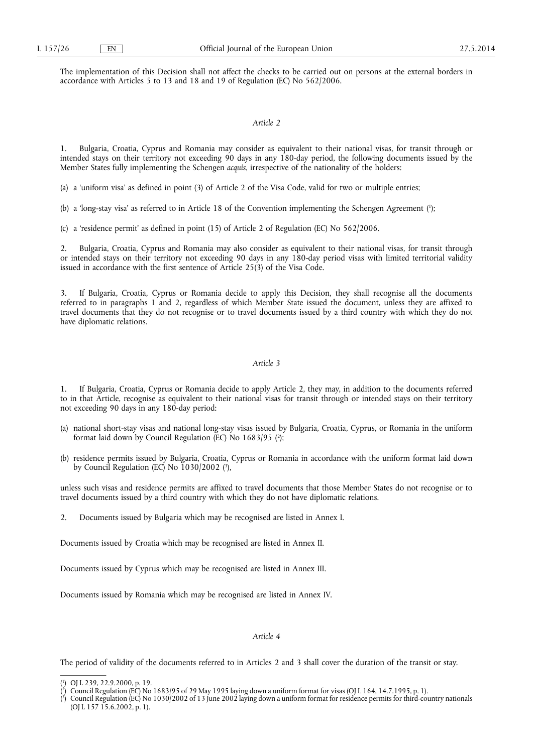The implementation of this Decision shall not affect the checks to be carried out on persons at the external borders in accordance with Articles 5 to 13 and 18 and 19 of Regulation (EC) No 562/2006.

# *Article 2*

1. Bulgaria, Croatia, Cyprus and Romania may consider as equivalent to their national visas, for transit through or intended stays on their territory not exceeding 90 days in any 180-day period, the following documents issued by the Member States fully implementing the Schengen *acquis*, irrespective of the nationality of the holders:

(a) a 'uniform visa' as defined in point (3) of Article 2 of the Visa Code, valid for two or multiple entries;

(b) a 'long-stay visa' as referred to in Article 18 of the Convention implementing the Schengen Agreement ( 1 );

(c) a 'residence permit' as defined in point (15) of Article 2 of Regulation (EC) No 562/2006.

2. Bulgaria, Croatia, Cyprus and Romania may also consider as equivalent to their national visas, for transit through or intended stays on their territory not exceeding 90 days in any 180-day period visas with limited territorial validity issued in accordance with the first sentence of Article 25(3) of the Visa Code.

3. If Bulgaria, Croatia, Cyprus or Romania decide to apply this Decision, they shall recognise all the documents referred to in paragraphs 1 and 2, regardless of which Member State issued the document, unless they are affixed to travel documents that they do not recognise or to travel documents issued by a third country with which they do not have diplomatic relations.

#### *Article 3*

1. If Bulgaria, Croatia, Cyprus or Romania decide to apply Article 2, they may, in addition to the documents referred to in that Article, recognise as equivalent to their national visas for transit through or intended stays on their territory not exceeding 90 days in any 180-day period:

- (a) national short-stay visas and national long-stay visas issued by Bulgaria, Croatia, Cyprus, or Romania in the uniform format laid down by Council Regulation (EC) No 1683/95 ( 2 );
- (b) residence permits issued by Bulgaria, Croatia, Cyprus or Romania in accordance with the uniform format laid down by Council Regulation (EC) No 1030/2002 (<sup>3</sup>),

unless such visas and residence permits are affixed to travel documents that those Member States do not recognise or to travel documents issued by a third country with which they do not have diplomatic relations.

2. Documents issued by Bulgaria which may be recognised are listed in Annex I.

Documents issued by Croatia which may be recognised are listed in Annex II.

Documents issued by Cyprus which may be recognised are listed in Annex III.

Documents issued by Romania which may be recognised are listed in Annex IV.

#### *Article 4*

The period of validity of the documents referred to in Articles 2 and 3 shall cover the duration of the transit or stay.

<sup>(</sup> 1 ) OJ L 239, 22.9.2000, p. 19.

<sup>(</sup> 2 ) Council Regulation (EC) No 1683/95 of 29 May 1995 laying down a uniform format for visas (OJ L 164, 14.7.1995, p. 1).

<sup>(</sup> 3 ) Council Regulation (EC) No 1030/2002 of 13 June 2002 laying down a uniform format for residence permits for third-country nationals (OJ L 157 15.6.2002, p. 1).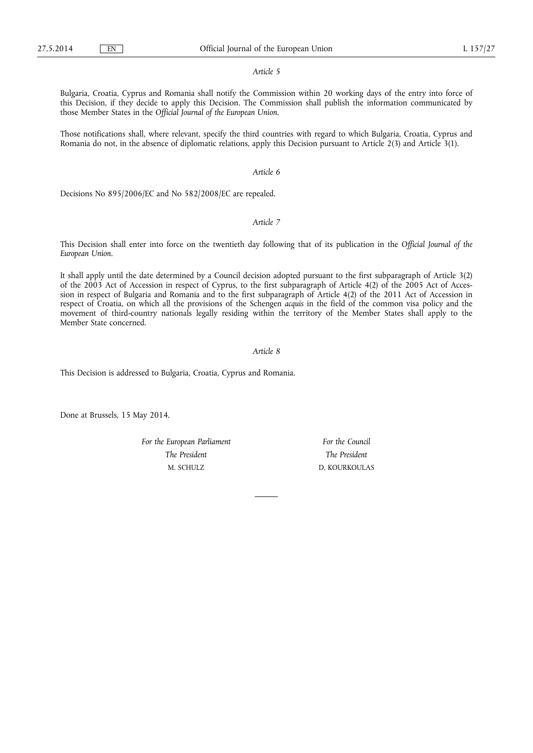#### *Article 5*

Bulgaria, Croatia, Cyprus and Romania shall notify the Commission within 20 working days of the entry into force of this Decision, if they decide to apply this Decision. The Commission shall publish the information communicated by those Member States in the *Official Journal of the European Union*.

Those notifications shall, where relevant, specify the third countries with regard to which Bulgaria, Croatia, Cyprus and Romania do not, in the absence of diplomatic relations, apply this Decision pursuant to Article 2(3) and Article 3(1).

## *Article 6*

Decisions No 895/2006/EC and No 582/2008/EC are repealed.

# *Article 7*

This Decision shall enter into force on the twentieth day following that of its publication in the *Official Journal of the European Union*.

It shall apply until the date determined by a Council decision adopted pursuant to the first subparagraph of Article 3(2) of the 2003 Act of Accession in respect of Cyprus, to the first subparagraph of Article 4(2) of the 2005 Act of Accession in respect of Bulgaria and Romania and to the first subparagraph of Article 4(2) of the 2011 Act of Accession in respect of Croatia, on which all the provisions of the Schengen *acquis* in the field of the common visa policy and the movement of third-country nationals legally residing within the territory of the Member States shall apply to the Member State concerned.

# *Article 8*

This Decision is addressed to Bulgaria, Croatia, Cyprus and Romania.

Done at Brussels, 15 May 2014.

*For the European Parliament The President*  M. SCHULZ

*For the Council The President*  D. KOURKOULAS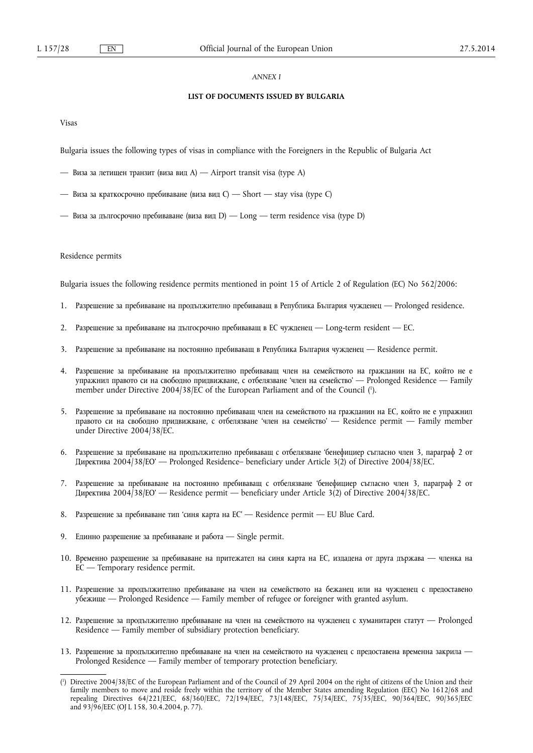# *ANNEX I*

# **LIST OF DOCUMENTS ISSUED BY BULGARIA**

Visas

Bulgaria issues the following types of visas in compliance with the Foreigners in the Republic of Bulgaria Act

- Виза за летищен транзит (виза вид A) Airport transit visa (type A)
- Виза за краткосрочно пребиваване (виза вид C) Short stay visa (type C)
- Виза за дългосрочно пребиваване (виза вид D) Long term residence visa (type D)

### Residence permits

Bulgaria issues the following residence permits mentioned in point 15 of Article 2 of Regulation (EC) No 562/2006:

- 1. Разрешение за пребиваване на продължително пребиваващ в Република България чужденец Prolonged residence.
- 2. Разрешение за пребиваване на дългосрочно пребиваващ в ЕС чужденец Long-term resident EC.
- 3. Разрешение за пребиваване на постоянно пребиваващ в Република България чужденец Residence permit.
- 4. Разрешение за пребиваване на продължително пребиваващ член на семейството на гражданин на ЕС, който не е упражнил правото си на свободно придвижване, с отбелязване 'член на семейство' — Prolonged Residence — Family member under Directive 2004/38/EC of the European Parliament and of the Council ( 1 ).
- 5. Разрешение за пребиваване на постоянно пребиваващ член на семейството на гражданин на ЕС, който не е упражнил правото си на свободно придвижване, с отбелязване 'член на семейство' — Residence permit — Family member under Directive 2004/38/EC.
- 6. Разрешение за пребиваване на продължително пребиваващ с отбелязване 'бенефициер съгласно член 3, параграф 2 от ДǰǸǭDzǺǰǪǨ 2004/38/ЕО' — Prolonged Residence– beneficiary under Article 3(2) of Directive 2004/38/EC.
- 7. Разрешение за пребиваване на постоянно пребиваващ с отбелязване 'бенефициер съгласно член 3, параграф 2 от ДǰǸǭDzǺǰǪǨ 2004/38/ЕО' — Residence permit — beneficiary under Article 3(2) of Directive 2004/38/EC.
- 8. Разрешение за пребиваване тип 'синя карта на ЕС' Residence permit EU Blue Card.
- 9. Единно разрешение за пребиваване и работа Single permit.
- 10. Временно разрешение за пребиваване на притежател на синя карта на ЕС, издадена от друга държава членка на ЕС — Temporary residence permit.
- 11. Разрешение за продължително пребиваване на член на семейството на бежанец или на чужденец с предоставено ǻǩǭǮǰȁǭ — Prolonged Residence — Family member of refugee or foreigner with granted asylum.
- 12. Разрешение за продължително пребиваване на член на семейството на чужденец с хуманитарен статут Prolonged Residence — Family member of subsidiary protection beneficiary.
- 13. Разрешение за продължително пребиваване на член на семейството на чужденец с предоставена временна закрила Prolonged Residence — Family member of temporary protection beneficiary.

<sup>(</sup> 1 ) Directive 2004/38/EC of the European Parliament and of the Council of 29 April 2004 on the right of citizens of the Union and their family members to move and reside freely within the territory of the Member States amending Regulation (EEC) No 1612/68 and repealing Directives 64/221/EEC, 68/360/EEC, 72/194/EEC, 73/148/EEC, 75/34/EEC, 75/35/EEC, 90/364/EEC, 90/365/EEC and 93/96/EEC (OJ L 158, 30.4.2004, p. 77).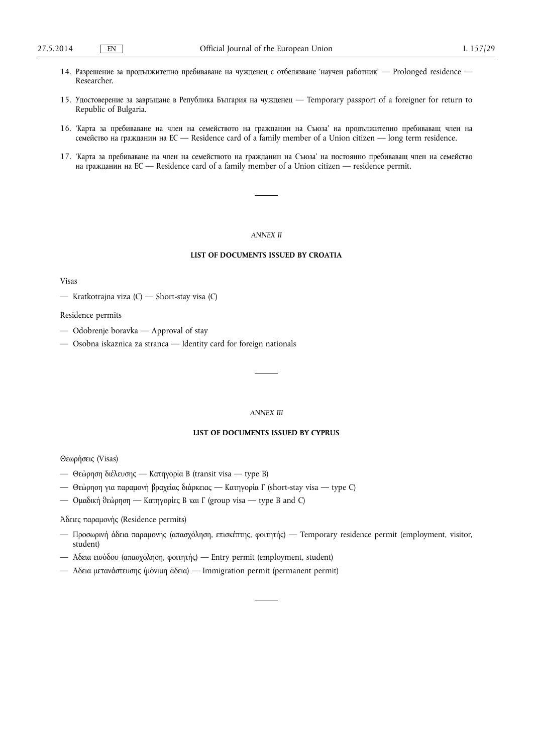- 14. Разрешение за продължително пребиваване на чужденец с отбелязване 'научен работник' Prolonged residence Researcher.
- 15. Удостоверение за завръщане в Република България на чужденец Temporary passport of a foreigner for return to Republic of Bulgaria.
- 16. 'Карта за пребиваване на член на семейството на гражданин на Съюза' на продължително пребиваващ член на ǹǭǴǭDZǹǺǪǶ ǵǨ ǫǸǨǮǬǨǵǰǵ ǵǨ ЕС — Residence card of a family member of a Union citizen — long term residence.
- 17. 'Карта за пребиваване на член на семейството на гражданин на Съюза' на постоянно пребиваващ член на семейство на гражданин на ЕС — Residence card of a family member of a Union citizen — residence permit.

#### *ANNEX II*

# **LIST OF DOCUMENTS ISSUED BY CROATIA**

Visas

— Kratkotrajna viza (C) — Short-stay visa (C)

Residence permits

- Odobrenje boravka Approval of stay
- Osobna iskaznica za stranca Identity card for foreign nationals

#### *ANNEX III*

# **LIST OF DOCUMENTS ISSUED BY CYPRUS**

Θεωρήσεις (Visas)

- Θεώρηση διέλευσης Κατηγορία Β (transit visa type B)
- Θεώρηση για παραμονή βραχείας διάρκειας Κατηγορία Γ (short-stay visa type C)
- Ομαδική θεώρηση Κατηγορίες Β και Γ (group visa type B and C)

Άδειες παραμονής (Residence permits)

- Προσωρινή άδεια παραμονής (απασχόληση, επισκέπτης, φοιτητής) Temporary residence permit (employment, visitor, student)
- Άδεια εισόδου (απασχόληση, φοιτητής) Entry permit (employment, student)
- Άδεια μετανάστευσης (μόνιμη άδεια) Immigration permit (permanent permit)